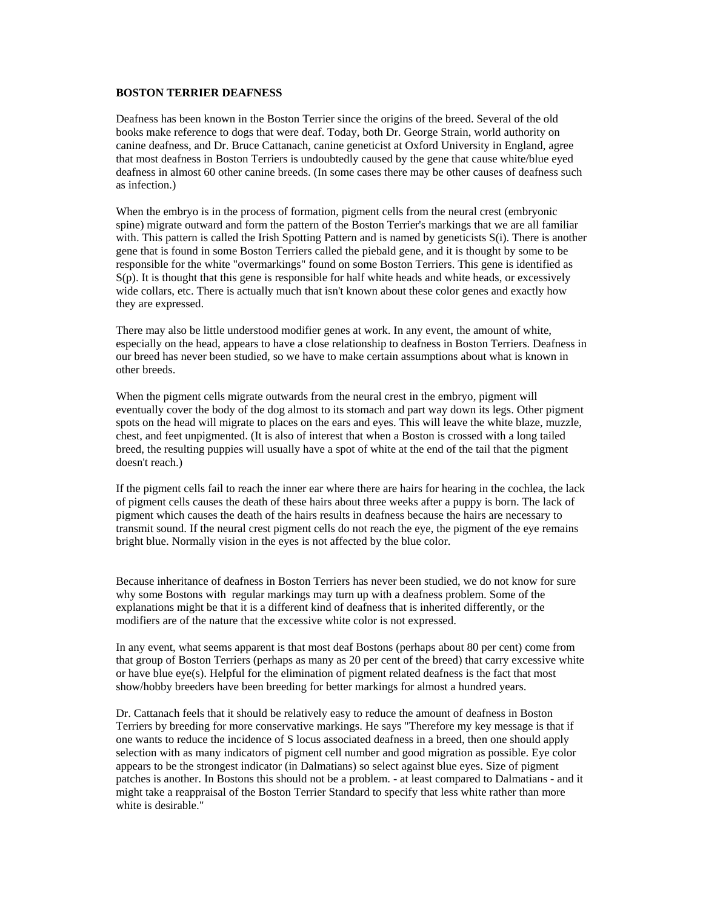## **BOSTON TERRIER DEAFNESS**

Deafness has been known in the Boston Terrier since the origins of the breed. Several of the old books make reference to dogs that were deaf. Today, both Dr. George Strain, world authority on canine deafness, and Dr. Bruce Cattanach, canine geneticist at Oxford University in England, agree that most deafness in Boston Terriers is undoubtedly caused by the gene that cause white/blue eyed deafness in almost 60 other canine breeds. (In some cases there may be other causes of deafness such as infection.)

When the embryo is in the process of formation, pigment cells from the neural crest (embryonic spine) migrate outward and form the pattern of the Boston Terrier's markings that we are all familiar with. This pattern is called the Irish Spotting Pattern and is named by geneticists  $S(i)$ . There is another gene that is found in some Boston Terriers called the piebald gene, and it is thought by some to be responsible for the white "overmarkings" found on some Boston Terriers. This gene is identified as S(p). It is thought that this gene is responsible for half white heads and white heads, or excessively wide collars, etc. There is actually much that isn't known about these color genes and exactly how they are expressed.

There may also be little understood modifier genes at work. In any event, the amount of white, especially on the head, appears to have a close relationship to deafness in Boston Terriers. Deafness in our breed has never been studied, so we have to make certain assumptions about what is known in other breeds.

When the pigment cells migrate outwards from the neural crest in the embryo, pigment will eventually cover the body of the dog almost to its stomach and part way down its legs. Other pigment spots on the head will migrate to places on the ears and eyes. This will leave the white blaze, muzzle, chest, and feet unpigmented. (It is also of interest that when a Boston is crossed with a long tailed breed, the resulting puppies will usually have a spot of white at the end of the tail that the pigment doesn't reach.)

If the pigment cells fail to reach the inner ear where there are hairs for hearing in the cochlea, the lack of pigment cells causes the death of these hairs about three weeks after a puppy is born. The lack of pigment which causes the death of the hairs results in deafness because the hairs are necessary to transmit sound. If the neural crest pigment cells do not reach the eye, the pigment of the eye remains bright blue. Normally vision in the eyes is not affected by the blue color.

Because inheritance of deafness in Boston Terriers has never been studied, we do not know for sure why some Bostons with regular markings may turn up with a deafness problem. Some of the explanations might be that it is a different kind of deafness that is inherited differently, or the modifiers are of the nature that the excessive white color is not expressed.

In any event, what seems apparent is that most deaf Bostons (perhaps about 80 per cent) come from that group of Boston Terriers (perhaps as many as 20 per cent of the breed) that carry excessive white or have blue eye(s). Helpful for the elimination of pigment related deafness is the fact that most show/hobby breeders have been breeding for better markings for almost a hundred years.

Dr. Cattanach feels that it should be relatively easy to reduce the amount of deafness in Boston Terriers by breeding for more conservative markings. He says "Therefore my key message is that if one wants to reduce the incidence of S locus associated deafness in a breed, then one should apply selection with as many indicators of pigment cell number and good migration as possible. Eye color appears to be the strongest indicator (in Dalmatians) so select against blue eyes. Size of pigment patches is another. In Bostons this should not be a problem. - at least compared to Dalmatians - and it might take a reappraisal of the Boston Terrier Standard to specify that less white rather than more white is desirable."